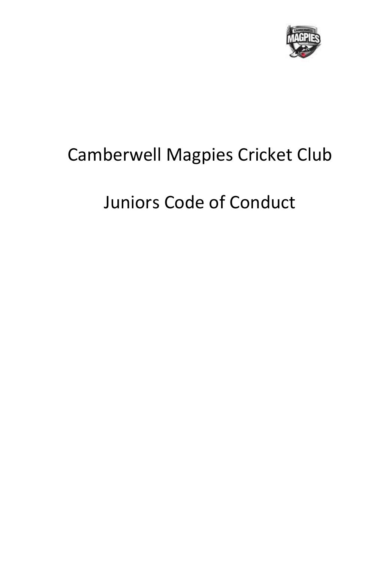

## Camberwell Magpies Cricket Club

# Juniors Code of Conduct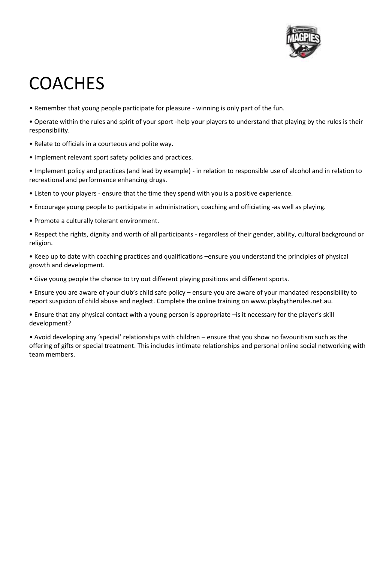

## **COACHES**

- Remember that young people participate for pleasure winning is only part of the fun.
- Operate within the rules and spirit of your sport -help your players to understand that playing by the rules is their responsibility.
- Relate to officials in a courteous and polite way.
- Implement relevant sport safety policies and practices.
- Implement policy and practices (and lead by example) in relation to responsible use of alcohol and in relation to recreational and performance enhancing drugs.
- Listen to your players ensure that the time they spend with you is a positive experience.
- Encourage young people to participate in administration, coaching and officiating -as well as playing.
- Promote a culturally tolerant environment.
- Respect the rights, dignity and worth of all participants regardless of their gender, ability, cultural background or religion.
- Keep up to date with coaching practices and qualifications –ensure you understand the principles of physical growth and development.
- Give young people the chance to try out different playing positions and different sports.
- Ensure you are aware of your club's child safe policy ensure you are aware of your mandated responsibility to report suspicion of child abuse and neglect. Complete the online training on www.playbytherules.net.au.
- Ensure that any physical contact with a young person is appropriate –is it necessary for the player's skill development?
- Avoid developing any 'special' relationships with children ensure that you show no favouritism such as the offering of gifts or special treatment. This includes intimate relationships and personal online social networking with team members.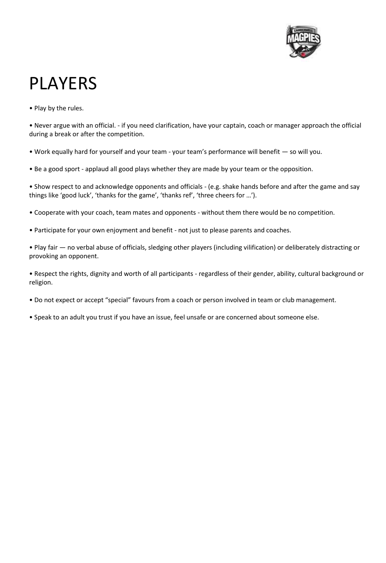

## PLAYERS

• Play by the rules.

• Never argue with an official. - if you need clarification, have your captain, coach or manager approach the official during a break or after the competition.

- Work equally hard for yourself and your team your team's performance will benefit so will you.
- Be a good sport applaud all good plays whether they are made by your team or the opposition.

• Show respect to and acknowledge opponents and officials - (e.g. shake hands before and after the game and say things like 'good luck', 'thanks for the game', 'thanks ref', 'three cheers for …').

- Cooperate with your coach, team mates and opponents without them there would be no competition.
- Participate for your own enjoyment and benefit not just to please parents and coaches.

• Play fair — no verbal abuse of officials, sledging other players (including vilification) or deliberately distracting or provoking an opponent.

• Respect the rights, dignity and worth of all participants - regardless of their gender, ability, cultural background or religion.

- Do not expect or accept "special" favours from a coach or person involved in team or club management.
- Speak to an adult you trust if you have an issue, feel unsafe or are concerned about someone else.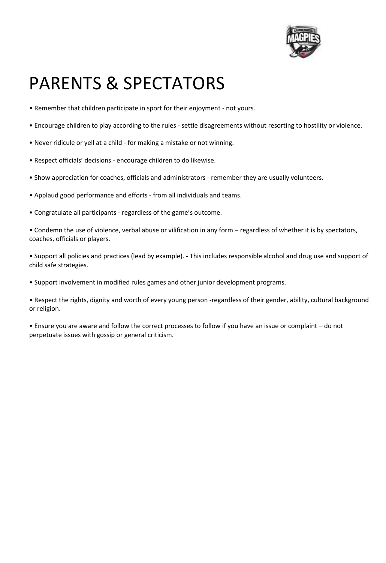

# PARENTS & SPECTATORS

- Remember that children participate in sport for their enjoyment not yours.
- Encourage children to play according to the rules settle disagreements without resorting to hostility or violence.
- Never ridicule or yell at a child for making a mistake or not winning.
- Respect officials' decisions encourage children to do likewise.
- Show appreciation for coaches, officials and administrators remember they are usually volunteers.
- Applaud good performance and efforts from all individuals and teams.
- Congratulate all participants regardless of the game's outcome.

• Condemn the use of violence, verbal abuse or vilification in any form – regardless of whether it is by spectators, coaches, officials or players.

• Support all policies and practices (lead by example). - This includes responsible alcohol and drug use and support of child safe strategies.

• Support involvement in modified rules games and other junior development programs.

• Respect the rights, dignity and worth of every young person -regardless of their gender, ability, cultural background or religion.

• Ensure you are aware and follow the correct processes to follow if you have an issue or complaint – do not perpetuate issues with gossip or general criticism.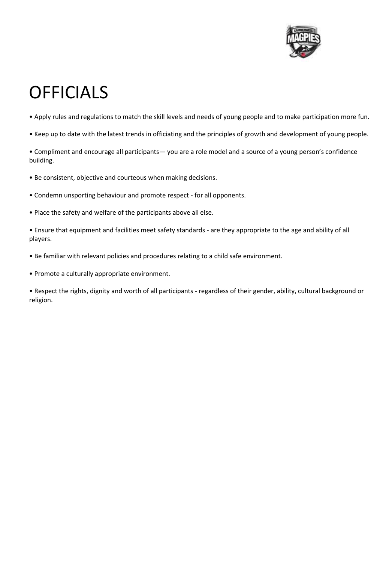

## **OFFICIALS**

- Apply rules and regulations to match the skill levels and needs of young people and to make participation more fun.
- Keep up to date with the latest trends in officiating and the principles of growth and development of young people.

• Compliment and encourage all participants— you are a role model and a source of a young person's confidence building.

- Be consistent, objective and courteous when making decisions.
- Condemn unsporting behaviour and promote respect for all opponents.
- Place the safety and welfare of the participants above all else.

• Ensure that equipment and facilities meet safety standards - are they appropriate to the age and ability of all players.

- Be familiar with relevant policies and procedures relating to a child safe environment.
- Promote a culturally appropriate environment.

• Respect the rights, dignity and worth of all participants - regardless of their gender, ability, cultural background or religion.